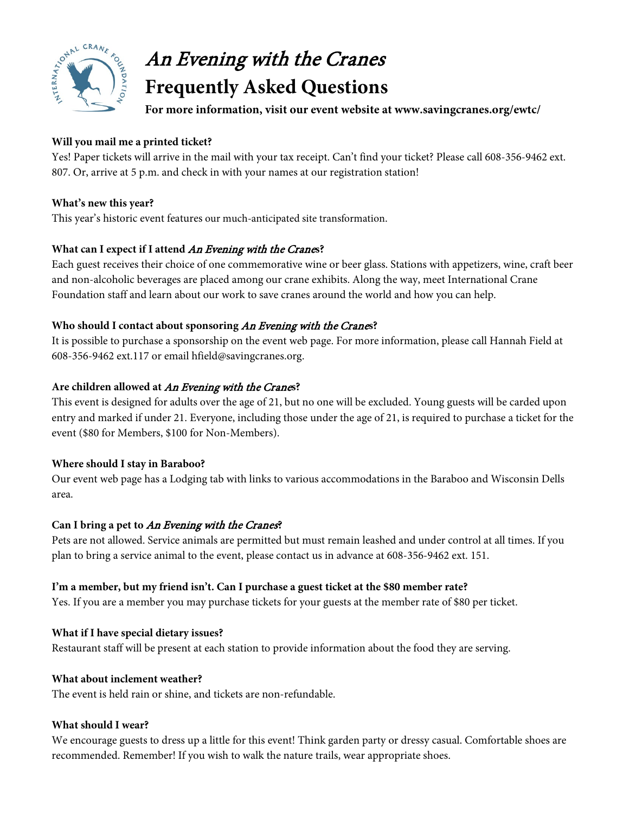

# An Evening with the Cranes **Frequently Asked Questions**

**For more information, visit our event website at www.savingcranes.org/ewtc/**

## **Will you mail me a printed ticket?**

Yes! Paper tickets will arrive in the mail with your tax receipt. Can't find your ticket? Please call 608-356-9462 ext. 807. Or, arrive at 5 p.m. and check in with your names at our registration station!

## **What's new this year?**

This year's historic event features our much-anticipated site transformation.

# **What can I expect if I attend** An Evening with the Crane**s?**

Each guest receives their choice of one commemorative wine or beer glass. Stations with appetizers, wine, craft beer and non-alcoholic beverages are placed among our crane exhibits. Along the way, meet International Crane Foundation staff and learn about our work to save cranes around the world and how you can help.

## **Who should I contact about sponsoring** An Evening with the Crane**s?**

It is possible to purchase a sponsorship on the event web page. For more information, please call Hannah Field at 608-356-9462 ext.117 or email hfield@savingcranes.org.

## **Are children allowed at** An Evening with the Crane**s?**

This event is designed for adults over the age of 21, but no one will be excluded. Young guests will be carded upon entry and marked if under 21. Everyone, including those under the age of 21, is required to purchase a ticket for the event (\$80 for Members, \$100 for Non-Members).

# **Where should I stay in Baraboo?**

Our event web page has a Lodging tab with links to various accommodations in the Baraboo and Wisconsin Dells area.

# **Can I bring a pet to** An Evening with the Cranes**?**

Pets are not allowed. Service animals are permitted but must remain leashed and under control at all times. If you plan to bring a service animal to the event, please contact us in advance at 608-356-9462 ext. 151.

# **I'm a member, but my friend isn't. Can I purchase a guest ticket at the \$80 member rate?**

Yes. If you are a member you may purchase tickets for your guests at the member rate of \$80 per ticket.

### **What if I have special dietary issues?**

Restaurant staff will be present at each station to provide information about the food they are serving.

### **What about inclement weather?**

The event is held rain or shine, and tickets are non-refundable.

### **What should I wear?**

We encourage guests to dress up a little for this event! Think garden party or dressy casual. Comfortable shoes are recommended. Remember! If you wish to walk the nature trails, wear appropriate shoes.